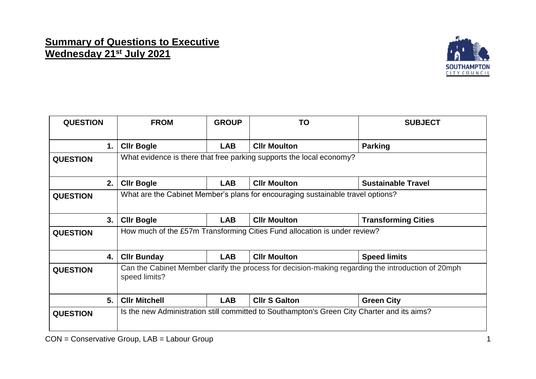## **Summary of Questions to Executive Wednesday 21st July 2021**



| <b>QUESTION</b> | <b>FROM</b>                                                                                                         | <b>GROUP</b> | <b>TO</b>            | <b>SUBJECT</b>             |  |
|-----------------|---------------------------------------------------------------------------------------------------------------------|--------------|----------------------|----------------------------|--|
| 1.              | <b>CIIr Bogle</b>                                                                                                   | <b>LAB</b>   | <b>CIIr Moulton</b>  | <b>Parking</b>             |  |
| <b>QUESTION</b> | What evidence is there that free parking supports the local economy?                                                |              |                      |                            |  |
| 2.              | <b>CIIr Bogle</b>                                                                                                   | <b>LAB</b>   | <b>CIIr Moulton</b>  | <b>Sustainable Travel</b>  |  |
| <b>QUESTION</b> | What are the Cabinet Member's plans for encouraging sustainable travel options?                                     |              |                      |                            |  |
| 3.              | <b>CIIr Bogle</b>                                                                                                   | <b>LAB</b>   | <b>CIIr Moulton</b>  | <b>Transforming Cities</b> |  |
| <b>QUESTION</b> | How much of the £57m Transforming Cities Fund allocation is under review?                                           |              |                      |                            |  |
| 4.              | <b>CIIr Bunday</b>                                                                                                  | <b>LAB</b>   | <b>Cllr Moulton</b>  | <b>Speed limits</b>        |  |
| <b>QUESTION</b> | Can the Cabinet Member clarify the process for decision-making regarding the introduction of 20mph<br>speed limits? |              |                      |                            |  |
| 5.              | <b>CIIr Mitchell</b>                                                                                                | <b>LAB</b>   | <b>Cllr S Galton</b> | <b>Green City</b>          |  |
| <b>QUESTION</b> | Is the new Administration still committed to Southampton's Green City Charter and its aims?                         |              |                      |                            |  |

CON = Conservative Group, LAB = Labour Group 1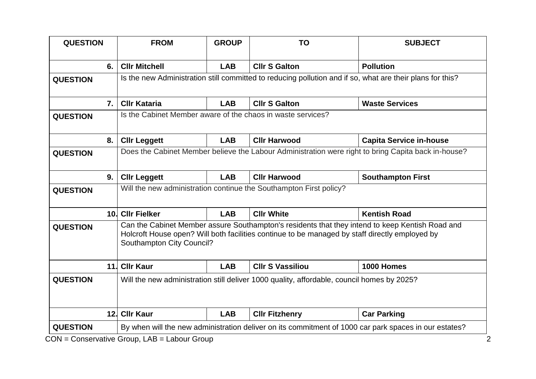| <b>QUESTION</b>  |    | <b>FROM</b>                                                                                               | <b>GROUP</b> | <b>TO</b>                                                                                      | <b>SUBJECT</b>                                                                                  |  |
|------------------|----|-----------------------------------------------------------------------------------------------------------|--------------|------------------------------------------------------------------------------------------------|-------------------------------------------------------------------------------------------------|--|
|                  | 6. | <b>CIIr Mitchell</b>                                                                                      | <b>LAB</b>   | <b>CIIr S Galton</b>                                                                           | <b>Pollution</b>                                                                                |  |
| <b>QUESTION</b>  |    | Is the new Administration still committed to reducing pollution and if so, what are their plans for this? |              |                                                                                                |                                                                                                 |  |
| $\overline{7}$ . |    | <b>CIIr Kataria</b>                                                                                       | <b>LAB</b>   | <b>CIIr S Galton</b>                                                                           | <b>Waste Services</b>                                                                           |  |
| <b>QUESTION</b>  |    | Is the Cabinet Member aware of the chaos in waste services?                                               |              |                                                                                                |                                                                                                 |  |
| 8.               |    | <b>CIIr Leggett</b>                                                                                       | <b>LAB</b>   | <b>Cllr Harwood</b>                                                                            | <b>Capita Service in-house</b>                                                                  |  |
| <b>QUESTION</b>  |    | Does the Cabinet Member believe the Labour Administration were right to bring Capita back in-house?       |              |                                                                                                |                                                                                                 |  |
| 9.               |    | <b>CIIr Leggett</b>                                                                                       | <b>LAB</b>   | <b>CIIr Harwood</b>                                                                            | <b>Southampton First</b>                                                                        |  |
| <b>QUESTION</b>  |    | Will the new administration continue the Southampton First policy?                                        |              |                                                                                                |                                                                                                 |  |
|                  |    |                                                                                                           |              | <b>Cllr White</b>                                                                              | <b>Kentish Road</b>                                                                             |  |
|                  |    | 10. Cllr Fielker                                                                                          | <b>LAB</b>   |                                                                                                |                                                                                                 |  |
| <b>QUESTION</b>  |    | Southampton City Council?                                                                                 |              | Holcroft House open? Will both facilities continue to be managed by staff directly employed by | Can the Cabinet Member assure Southampton's residents that they intend to keep Kentish Road and |  |
|                  |    | 11. Cllr Kaur                                                                                             | <b>LAB</b>   | <b>CIIr S Vassiliou</b>                                                                        | 1000 Homes                                                                                      |  |
| <b>QUESTION</b>  |    |                                                                                                           |              | Will the new administration still deliver 1000 quality, affordable, council homes by 2025?     |                                                                                                 |  |
|                  |    | 12. Cllr Kaur                                                                                             | <b>LAB</b>   | <b>Cllr Fitzhenry</b>                                                                          | <b>Car Parking</b>                                                                              |  |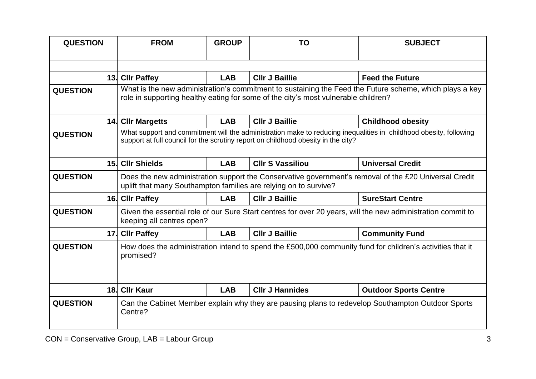| <b>QUESTION</b> | <b>FROM</b>                                                                                                                                                                                            | <b>GROUP</b> | <b>TO</b>               | <b>SUBJECT</b>                                                                                    |  |
|-----------------|--------------------------------------------------------------------------------------------------------------------------------------------------------------------------------------------------------|--------------|-------------------------|---------------------------------------------------------------------------------------------------|--|
|                 |                                                                                                                                                                                                        |              |                         |                                                                                                   |  |
|                 | 13. Cllr Paffey                                                                                                                                                                                        | <b>LAB</b>   | <b>Cllr J Baillie</b>   | <b>Feed the Future</b>                                                                            |  |
| <b>QUESTION</b> | What is the new administration's commitment to sustaining the Feed the Future scheme, which plays a key<br>role in supporting healthy eating for some of the city's most vulnerable children?          |              |                         |                                                                                                   |  |
|                 | 14. Cllr Margetts                                                                                                                                                                                      | <b>LAB</b>   | <b>CIIr J Baillie</b>   | <b>Childhood obesity</b>                                                                          |  |
| <b>QUESTION</b> | What support and commitment will the administration make to reducing inequalities in childhood obesity, following<br>support at full council for the scrutiny report on childhood obesity in the city? |              |                         |                                                                                                   |  |
|                 | 15. Cllr Shields                                                                                                                                                                                       | <b>LAB</b>   | <b>CIIr S Vassiliou</b> | <b>Universal Credit</b>                                                                           |  |
| <b>QUESTION</b> | Does the new administration support the Conservative government's removal of the £20 Universal Credit<br>uplift that many Southampton families are relying on to survive?                              |              |                         |                                                                                                   |  |
|                 | 16. Cllr Paffey                                                                                                                                                                                        | <b>LAB</b>   | <b>CIIr J Baillie</b>   | <b>SureStart Centre</b>                                                                           |  |
| <b>QUESTION</b> | Given the essential role of our Sure Start centres for over 20 years, will the new administration commit to<br>keeping all centres open?                                                               |              |                         |                                                                                                   |  |
| 17.             | <b>CIIr Paffey</b>                                                                                                                                                                                     | <b>LAB</b>   | <b>CIIr J Baillie</b>   | <b>Community Fund</b>                                                                             |  |
| <b>QUESTION</b> | How does the administration intend to spend the £500,000 community fund for children's activities that it<br>promised?                                                                                 |              |                         |                                                                                                   |  |
| 18.             | <b>Cllr Kaur</b>                                                                                                                                                                                       | <b>LAB</b>   | <b>CIIr J Hannides</b>  | <b>Outdoor Sports Centre</b>                                                                      |  |
| <b>QUESTION</b> | Centre?                                                                                                                                                                                                |              |                         | Can the Cabinet Member explain why they are pausing plans to redevelop Southampton Outdoor Sports |  |